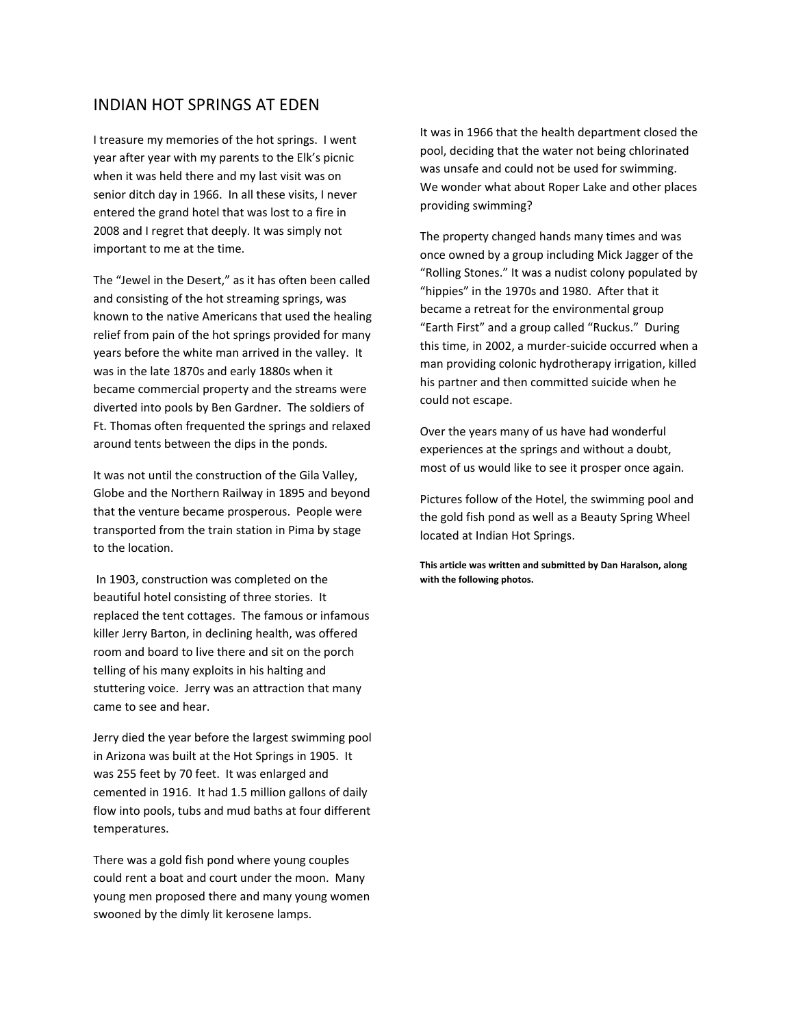## INDIAN HOT SPRINGS AT EDEN

I treasure my memories of the hot springs. I went year after year with my parents to the Elk's picnic when it was held there and my last visit was on senior ditch day in 1966. In all these visits, I never entered the grand hotel that was lost to a fire in 2008 and I regret that deeply. It was simply not important to me at the time.

The "Jewel in the Desert," as it has often been called and consisting of the hot streaming springs, was known to the native Americans that used the healing relief from pain of the hot springs provided for many years before the white man arrived in the valley. It was in the late 1870s and early 1880s when it became commercial property and the streams were diverted into pools by Ben Gardner. The soldiers of Ft. Thomas often frequented the springs and relaxed around tents between the dips in the ponds.

It was not until the construction of the Gila Valley, Globe and the Northern Railway in 1895 and beyond that the venture became prosperous. People were transported from the train station in Pima by stage to the location.

In 1903, construction was completed on the beautiful hotel consisting of three stories. It replaced the tent cottages. The famous or infamous killer Jerry Barton, in declining health, was offered room and board to live there and sit on the porch telling of his many exploits in his halting and stuttering voice. Jerry was an attraction that many came to see and hear.

Jerry died the year before the largest swimming pool in Arizona was built at the Hot Springs in 1905. It was 255 feet by 70 feet. It was enlarged and cemented in 1916. It had 1.5 million gallons of daily flow into pools, tubs and mud baths at four different temperatures.

There was a gold fish pond where young couples could rent a boat and court under the moon. Many young men proposed there and many young women swooned by the dimly lit kerosene lamps.

It was in 1966 that the health department closed the pool, deciding that the water not being chlorinated was unsafe and could not be used for swimming. We wonder what about Roper Lake and other places providing swimming?

The property changed hands many times and was once owned by a group including Mick Jagger of the "Rolling Stones." It was a nudist colony populated by "hippies" in the 1970s and 1980. After that it became a retreat for the environmental group "Earth First" and a group called "Ruckus." During this time, in 2002, a murder‐suicide occurred when a man providing colonic hydrotherapy irrigation, killed his partner and then committed suicide when he could not escape.

Over the years many of us have had wonderful experiences at the springs and without a doubt, most of us would like to see it prosper once again.

Pictures follow of the Hotel, the swimming pool and the gold fish pond as well as a Beauty Spring Wheel located at Indian Hot Springs.

**This article was written and submitted by Dan Haralson, along with the following photos.**